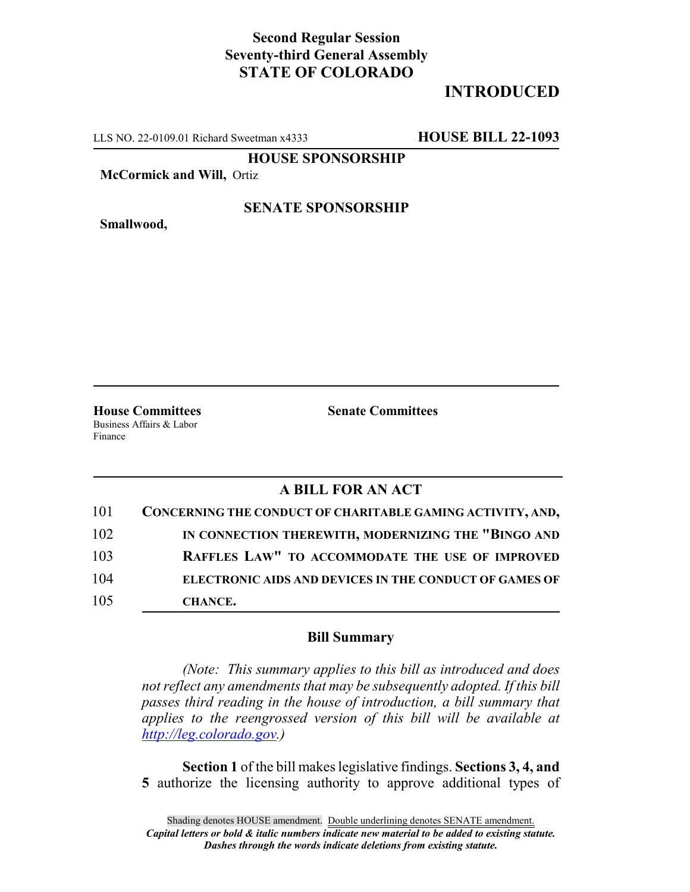## **Second Regular Session Seventy-third General Assembly STATE OF COLORADO**

# **INTRODUCED**

LLS NO. 22-0109.01 Richard Sweetman x4333 **HOUSE BILL 22-1093**

**HOUSE SPONSORSHIP**

**McCormick and Will,** Ortiz

**Smallwood,**

#### **SENATE SPONSORSHIP**

**House Committees Senate Committees** Business Affairs & Labor Finance

### **A BILL FOR AN ACT**

| 101 | CONCERNING THE CONDUCT OF CHARITABLE GAMING ACTIVITY, AND,    |
|-----|---------------------------------------------------------------|
| 102 | IN CONNECTION THEREWITH, MODERNIZING THE "BINGO AND           |
| 103 | RAFFLES LAW" TO ACCOMMODATE THE USE OF IMPROVED               |
| 104 | <b>ELECTRONIC AIDS AND DEVICES IN THE CONDUCT OF GAMES OF</b> |
| 105 | <b>CHANCE.</b>                                                |

### **Bill Summary**

*(Note: This summary applies to this bill as introduced and does not reflect any amendments that may be subsequently adopted. If this bill passes third reading in the house of introduction, a bill summary that applies to the reengrossed version of this bill will be available at http://leg.colorado.gov.)*

**Section 1** of the bill makes legislative findings. **Sections 3, 4, and 5** authorize the licensing authority to approve additional types of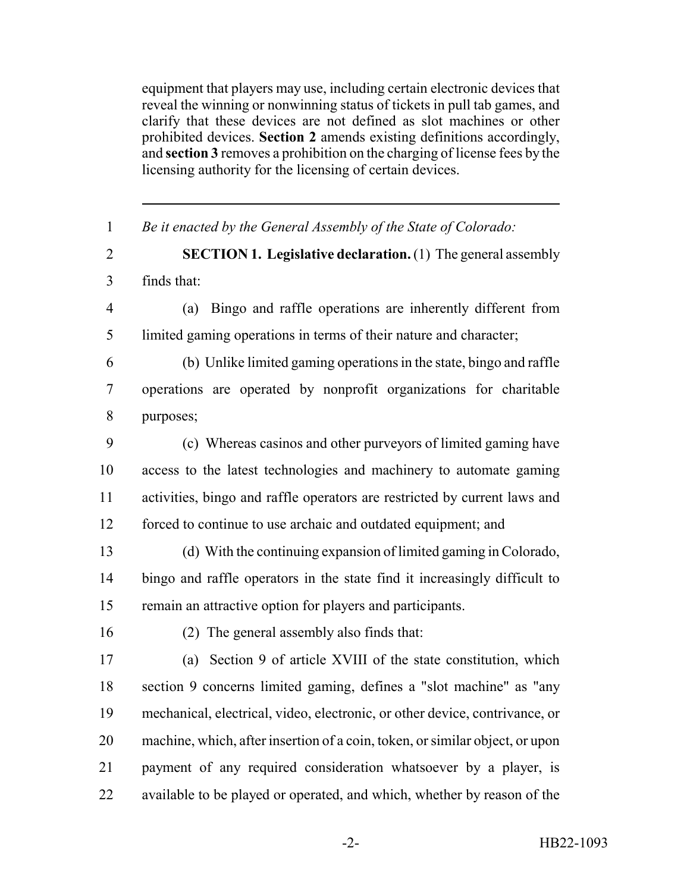equipment that players may use, including certain electronic devices that reveal the winning or nonwinning status of tickets in pull tab games, and clarify that these devices are not defined as slot machines or other prohibited devices. **Section 2** amends existing definitions accordingly, and **section 3** removes a prohibition on the charging of license fees by the licensing authority for the licensing of certain devices.

| $\mathbf{1}$   | Be it enacted by the General Assembly of the State of Colorado:              |
|----------------|------------------------------------------------------------------------------|
| $\overline{2}$ | <b>SECTION 1. Legislative declaration.</b> (1) The general assembly          |
| $\overline{3}$ | finds that:                                                                  |
| $\overline{4}$ | Bingo and raffle operations are inherently different from<br>(a)             |
| 5              | limited gaming operations in terms of their nature and character;            |
| 6              | (b) Unlike limited gaming operations in the state, bingo and raffle          |
| $\overline{7}$ | operations are operated by nonprofit organizations for charitable            |
| 8              | purposes;                                                                    |
| 9              | (c) Whereas casinos and other purveyors of limited gaming have               |
| 10             | access to the latest technologies and machinery to automate gaming           |
| 11             | activities, bingo and raffle operators are restricted by current laws and    |
| 12             | forced to continue to use archaic and outdated equipment; and                |
| 13             | (d) With the continuing expansion of limited gaming in Colorado,             |
| 14             | bingo and raffle operators in the state find it increasingly difficult to    |
| 15             | remain an attractive option for players and participants.                    |
| 16             | (2) The general assembly also finds that:                                    |
| 17             | (a) Section 9 of article XVIII of the state constitution, which              |
| 18             | section 9 concerns limited gaming, defines a "slot machine" as "any          |
| 19             | mechanical, electrical, video, electronic, or other device, contrivance, or  |
| 20             | machine, which, after insertion of a coin, token, or similar object, or upon |
| 21             | payment of any required consideration whatsoever by a player, is             |
| 22             | available to be played or operated, and which, whether by reason of the      |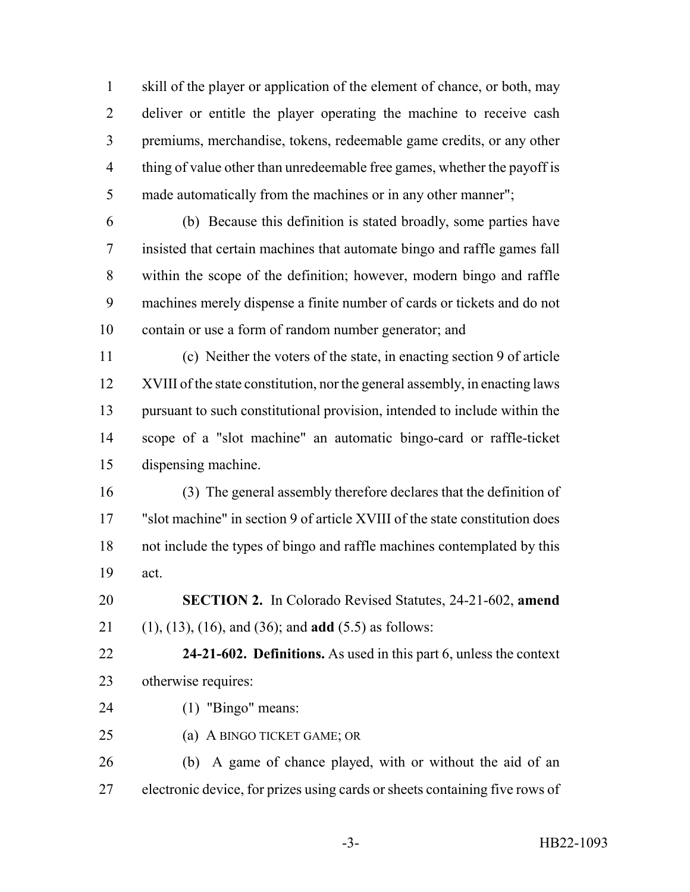skill of the player or application of the element of chance, or both, may 2 deliver or entitle the player operating the machine to receive cash premiums, merchandise, tokens, redeemable game credits, or any other thing of value other than unredeemable free games, whether the payoff is made automatically from the machines or in any other manner";

 (b) Because this definition is stated broadly, some parties have insisted that certain machines that automate bingo and raffle games fall within the scope of the definition; however, modern bingo and raffle machines merely dispense a finite number of cards or tickets and do not contain or use a form of random number generator; and

 (c) Neither the voters of the state, in enacting section 9 of article XVIII of the state constitution, nor the general assembly, in enacting laws pursuant to such constitutional provision, intended to include within the scope of a "slot machine" an automatic bingo-card or raffle-ticket dispensing machine.

 (3) The general assembly therefore declares that the definition of "slot machine" in section 9 of article XVIII of the state constitution does not include the types of bingo and raffle machines contemplated by this act.

 **SECTION 2.** In Colorado Revised Statutes, 24-21-602, **amend** (1), (13), (16), and (36); and **add** (5.5) as follows:

 **24-21-602. Definitions.** As used in this part 6, unless the context otherwise requires:

- (1) "Bingo" means:
- (a) A BINGO TICKET GAME; OR

 (b) A game of chance played, with or without the aid of an electronic device, for prizes using cards or sheets containing five rows of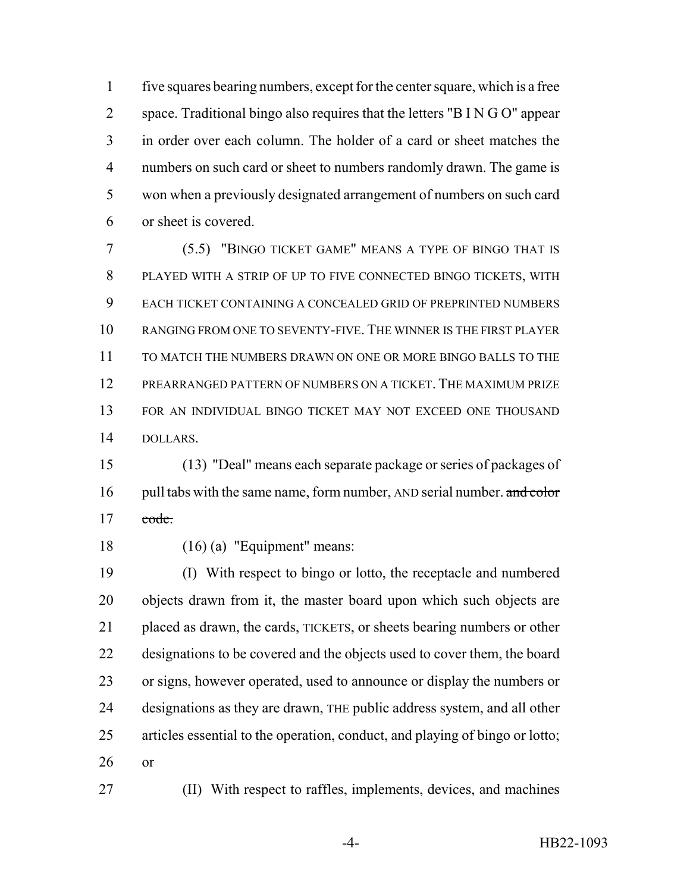five squares bearing numbers, except for the center square, which is a free space. Traditional bingo also requires that the letters "B I N G O" appear in order over each column. The holder of a card or sheet matches the numbers on such card or sheet to numbers randomly drawn. The game is won when a previously designated arrangement of numbers on such card or sheet is covered.

 (5.5) "BINGO TICKET GAME" MEANS A TYPE OF BINGO THAT IS PLAYED WITH A STRIP OF UP TO FIVE CONNECTED BINGO TICKETS, WITH EACH TICKET CONTAINING A CONCEALED GRID OF PREPRINTED NUMBERS RANGING FROM ONE TO SEVENTY-FIVE. THE WINNER IS THE FIRST PLAYER TO MATCH THE NUMBERS DRAWN ON ONE OR MORE BINGO BALLS TO THE PREARRANGED PATTERN OF NUMBERS ON A TICKET. THE MAXIMUM PRIZE FOR AN INDIVIDUAL BINGO TICKET MAY NOT EXCEED ONE THOUSAND DOLLARS.

 (13) "Deal" means each separate package or series of packages of 16 pull tabs with the same name, form number, AND serial number. and color  $17 \qquad \text{code}.$ 

(16) (a) "Equipment" means:

 (I) With respect to bingo or lotto, the receptacle and numbered objects drawn from it, the master board upon which such objects are placed as drawn, the cards, TICKETS, or sheets bearing numbers or other designations to be covered and the objects used to cover them, the board or signs, however operated, used to announce or display the numbers or designations as they are drawn, THE public address system, and all other articles essential to the operation, conduct, and playing of bingo or lotto; or

(II) With respect to raffles, implements, devices, and machines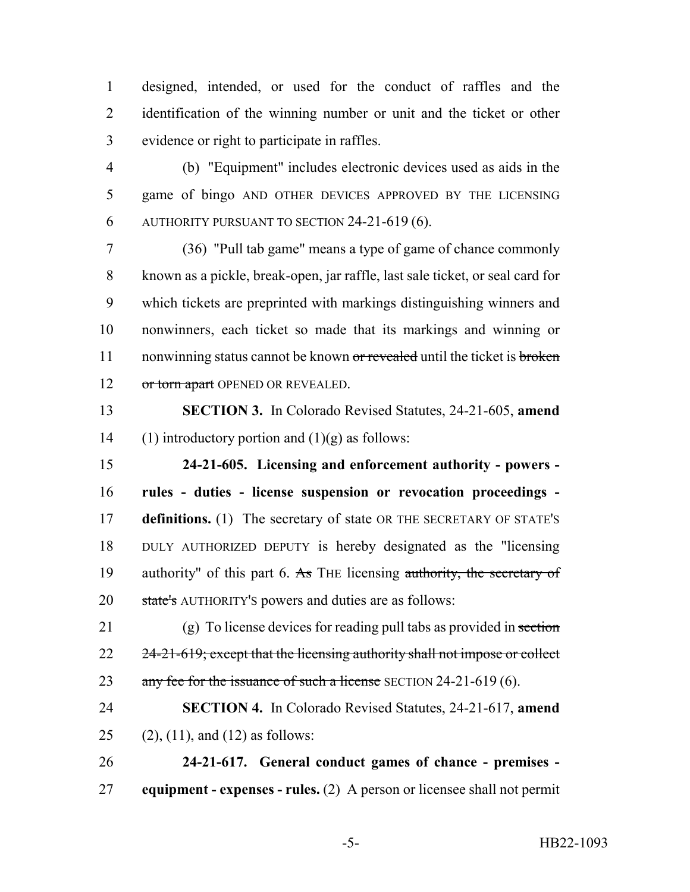designed, intended, or used for the conduct of raffles and the identification of the winning number or unit and the ticket or other evidence or right to participate in raffles.

 (b) "Equipment" includes electronic devices used as aids in the game of bingo AND OTHER DEVICES APPROVED BY THE LICENSING AUTHORITY PURSUANT TO SECTION 24-21-619 (6).

 (36) "Pull tab game" means a type of game of chance commonly known as a pickle, break-open, jar raffle, last sale ticket, or seal card for which tickets are preprinted with markings distinguishing winners and nonwinners, each ticket so made that its markings and winning or 11 nonwinning status cannot be known or revealed until the ticket is broken 12 or torn apart OPENED OR REVEALED.

 **SECTION 3.** In Colorado Revised Statutes, 24-21-605, **amend** 14 (1) introductory portion and  $(1)(g)$  as follows:

 **24-21-605. Licensing and enforcement authority - powers - rules - duties - license suspension or revocation proceedings - definitions.** (1) The secretary of state OR THE SECRETARY OF STATE'S DULY AUTHORIZED DEPUTY is hereby designated as the "licensing 19 authority" of this part 6. As THE licensing authority, the secretary of 20 state's AUTHORITY's powers and duties are as follows:

21 (g) To license devices for reading pull tabs as provided in section 22 24-21-619; except that the licensing authority shall not impose or collect 23 any fee for the issuance of such a license SECTION 24-21-619 (6).

 **SECTION 4.** In Colorado Revised Statutes, 24-21-617, **amend** 25 (2), (11), and (12) as follows:

 **24-21-617. General conduct games of chance - premises - equipment - expenses - rules.** (2) A person or licensee shall not permit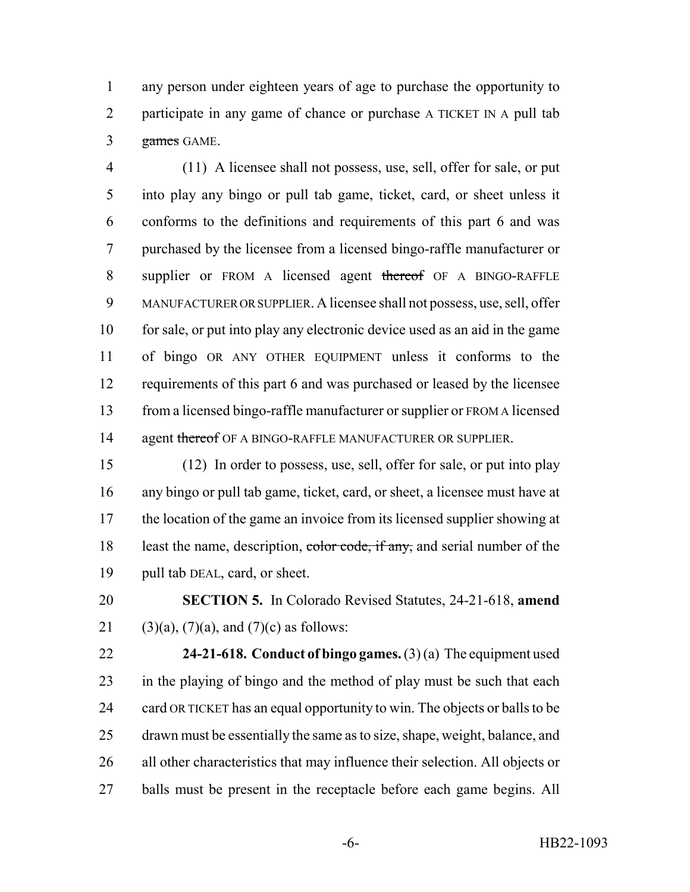any person under eighteen years of age to purchase the opportunity to 2 participate in any game of chance or purchase A TICKET IN A pull tab games GAME.

 (11) A licensee shall not possess, use, sell, offer for sale, or put into play any bingo or pull tab game, ticket, card, or sheet unless it conforms to the definitions and requirements of this part 6 and was purchased by the licensee from a licensed bingo-raffle manufacturer or 8 supplier or FROM A licensed agent thereof OF A BINGO-RAFFLE MANUFACTURER OR SUPPLIER. A licensee shall not possess, use, sell, offer for sale, or put into play any electronic device used as an aid in the game of bingo OR ANY OTHER EQUIPMENT unless it conforms to the 12 requirements of this part 6 and was purchased or leased by the licensee from a licensed bingo-raffle manufacturer or supplier or FROM A licensed 14 agent thereof OF A BINGO-RAFFLE MANUFACTURER OR SUPPLIER.

 (12) In order to possess, use, sell, offer for sale, or put into play any bingo or pull tab game, ticket, card, or sheet, a licensee must have at 17 the location of the game an invoice from its licensed supplier showing at 18 least the name, description, color code, if any, and serial number of the pull tab DEAL, card, or sheet.

 **SECTION 5.** In Colorado Revised Statutes, 24-21-618, **amend** 21 (3)(a), (7)(a), and (7)(c) as follows:

 **24-21-618. Conduct of bingo games.** (3) (a) The equipment used in the playing of bingo and the method of play must be such that each 24 card OR TICKET has an equal opportunity to win. The objects or balls to be drawn must be essentially the same as to size, shape, weight, balance, and all other characteristics that may influence their selection. All objects or balls must be present in the receptacle before each game begins. All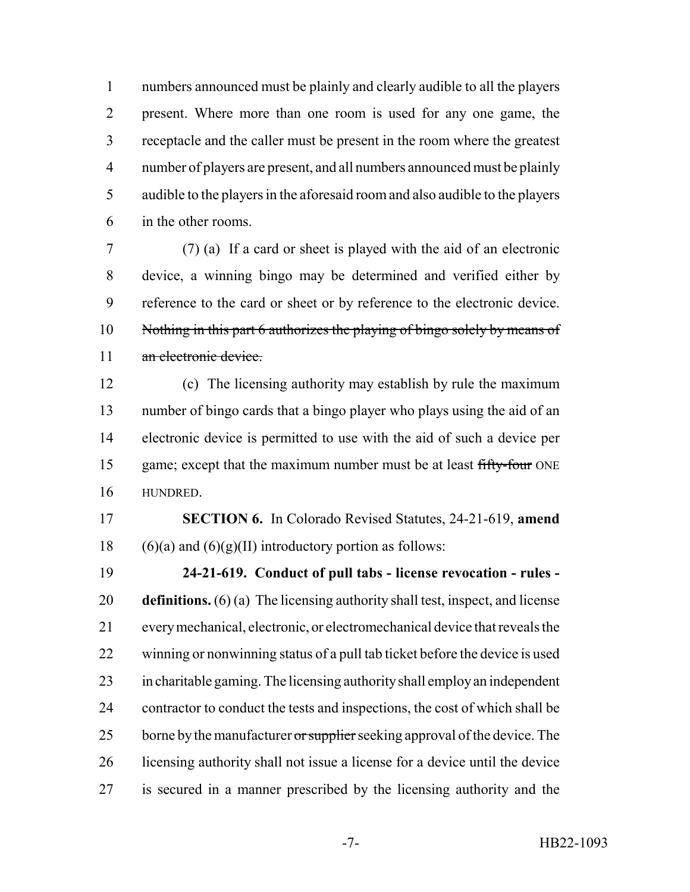numbers announced must be plainly and clearly audible to all the players present. Where more than one room is used for any one game, the receptacle and the caller must be present in the room where the greatest number of players are present, and all numbers announced must be plainly audible to the players in the aforesaid room and also audible to the players in the other rooms.

 (7) (a) If a card or sheet is played with the aid of an electronic device, a winning bingo may be determined and verified either by reference to the card or sheet or by reference to the electronic device. 10 Nothing in this part 6 authorizes the playing of bingo solely by means of 11 an electronic device.

 (c) The licensing authority may establish by rule the maximum number of bingo cards that a bingo player who plays using the aid of an electronic device is permitted to use with the aid of such a device per 15 game; except that the maximum number must be at least fifty-four ONE HUNDRED.

 **SECTION 6.** In Colorado Revised Statutes, 24-21-619, **amend** 18 (6)(a) and (6)(g)(II) introductory portion as follows:

 **24-21-619. Conduct of pull tabs - license revocation - rules - definitions.** (6) (a) The licensing authority shall test, inspect, and license every mechanical, electronic, or electromechanical device that reveals the winning or nonwinning status of a pull tab ticket before the device is used in charitable gaming. The licensing authority shall employ an independent contractor to conduct the tests and inspections, the cost of which shall be 25 borne by the manufacturer or supplier seeking approval of the device. The licensing authority shall not issue a license for a device until the device is secured in a manner prescribed by the licensing authority and the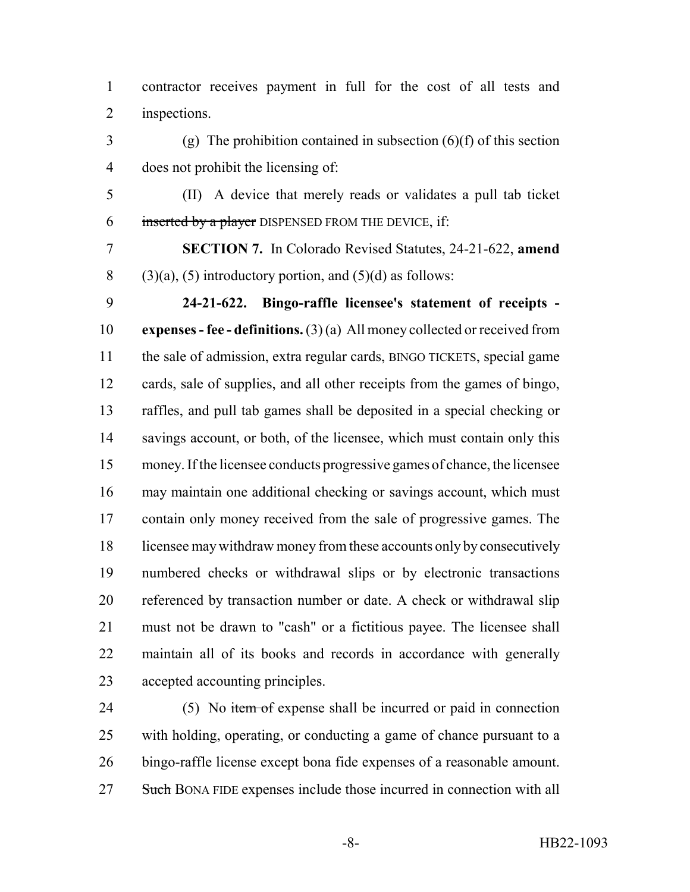contractor receives payment in full for the cost of all tests and inspections.

 $3 \qquad (g)$  The prohibition contained in subsection  $(6)(f)$  of this section does not prohibit the licensing of:

 (II) A device that merely reads or validates a pull tab ticket inserted by a player DISPENSED FROM THE DEVICE, if:

 **SECTION 7.** In Colorado Revised Statutes, 24-21-622, **amend** 8 (3)(a), (5) introductory portion, and (5)(d) as follows:

 **24-21-622. Bingo-raffle licensee's statement of receipts - expenses - fee - definitions.** (3) (a) All money collected or received from the sale of admission, extra regular cards, BINGO TICKETS, special game cards, sale of supplies, and all other receipts from the games of bingo, raffles, and pull tab games shall be deposited in a special checking or 14 savings account, or both, of the licensee, which must contain only this money. If the licensee conducts progressive games of chance, the licensee may maintain one additional checking or savings account, which must contain only money received from the sale of progressive games. The licensee may withdraw money from these accounts only by consecutively numbered checks or withdrawal slips or by electronic transactions referenced by transaction number or date. A check or withdrawal slip must not be drawn to "cash" or a fictitious payee. The licensee shall maintain all of its books and records in accordance with generally accepted accounting principles.

24 (5) No item of expense shall be incurred or paid in connection with holding, operating, or conducting a game of chance pursuant to a bingo-raffle license except bona fide expenses of a reasonable amount. 27 Such BONA FIDE expenses include those incurred in connection with all